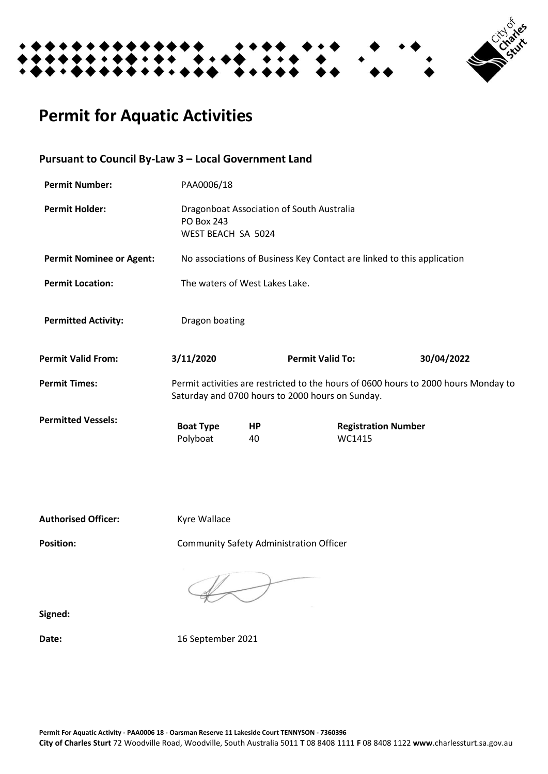

# **Permit for Aquatic Activities**

# **Pursuant to Council By-Law 3 – Local Government Land**

| <b>Permit Number:</b>           | PAA0006/18                                                                                                                              |          |                         |                                      |            |
|---------------------------------|-----------------------------------------------------------------------------------------------------------------------------------------|----------|-------------------------|--------------------------------------|------------|
| <b>Permit Holder:</b>           | Dragonboat Association of South Australia<br><b>PO Box 243</b><br>WEST BEACH SA 5024                                                    |          |                         |                                      |            |
| <b>Permit Nominee or Agent:</b> | No associations of Business Key Contact are linked to this application                                                                  |          |                         |                                      |            |
| <b>Permit Location:</b>         | The waters of West Lakes Lake.                                                                                                          |          |                         |                                      |            |
| <b>Permitted Activity:</b>      | Dragon boating                                                                                                                          |          |                         |                                      |            |
| <b>Permit Valid From:</b>       | 3/11/2020                                                                                                                               |          | <b>Permit Valid To:</b> |                                      | 30/04/2022 |
| <b>Permit Times:</b>            | Permit activities are restricted to the hours of 0600 hours to 2000 hours Monday to<br>Saturday and 0700 hours to 2000 hours on Sunday. |          |                         |                                      |            |
| <b>Permitted Vessels:</b>       | <b>Boat Type</b><br>Polyboat                                                                                                            | HP<br>40 |                         | <b>Registration Number</b><br>WC1415 |            |

Authorised Officer: Kyre Wallace

Position: **Position:** Community Safety Administration Officer

**Signed:**

**Date:** 16 September 2021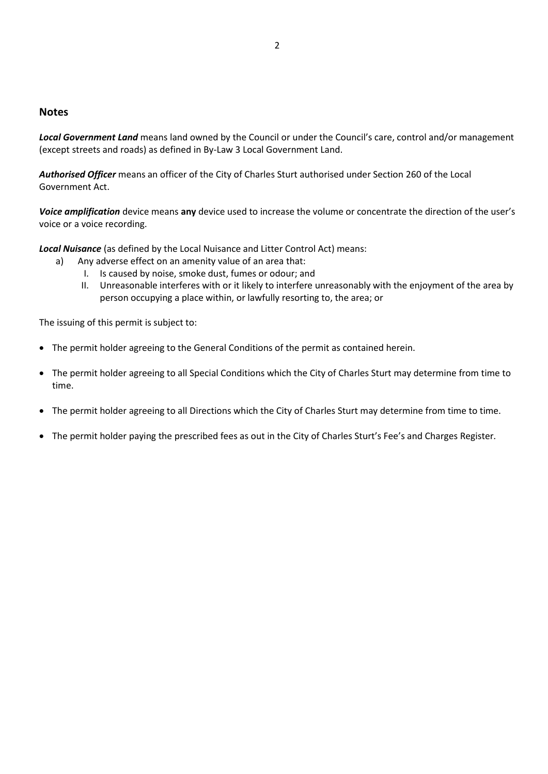## **Notes**

*Local Government Land* means land owned by the Council or under the Council's care, control and/or management (except streets and roads) as defined in By-Law 3 Local Government Land.

*Authorised Officer* means an officer of the City of Charles Sturt authorised under Section 260 of the Local Government Act.

*Voice amplification* device means **any** device used to increase the volume or concentrate the direction of the user's voice or a voice recording.

*Local Nuisance* (as defined by the Local Nuisance and Litter Control Act) means:

- a) Any adverse effect on an amenity value of an area that:
	- I. Is caused by noise, smoke dust, fumes or odour; and
	- II. Unreasonable interferes with or it likely to interfere unreasonably with the enjoyment of the area by person occupying a place within, or lawfully resorting to, the area; or

The issuing of this permit is subject to:

- The permit holder agreeing to the General Conditions of the permit as contained herein.
- The permit holder agreeing to all Special Conditions which the City of Charles Sturt may determine from time to time.
- The permit holder agreeing to all Directions which the City of Charles Sturt may determine from time to time.
- The permit holder paying the prescribed fees as out in the City of Charles Sturt's Fee's and Charges Register.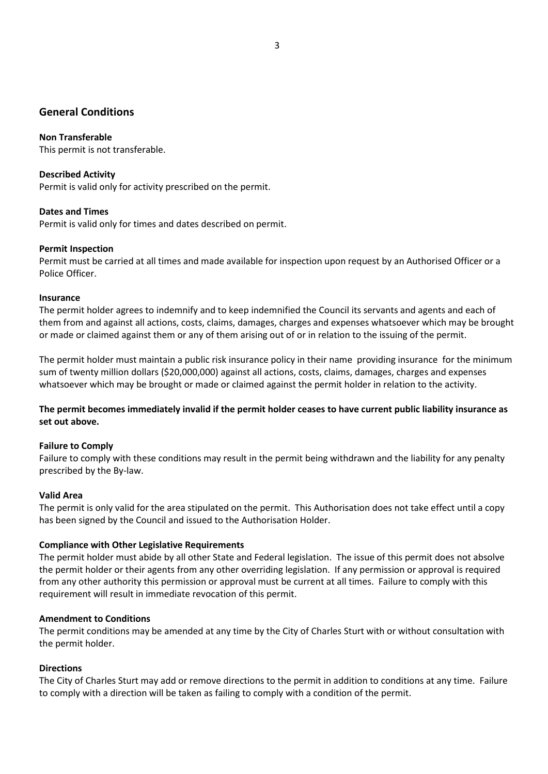# **General Conditions**

## **Non Transferable**

This permit is not transferable.

#### **Described Activity**

Permit is valid only for activity prescribed on the permit.

#### **Dates and Times**

Permit is valid only for times and dates described on permit.

## **Permit Inspection**

Permit must be carried at all times and made available for inspection upon request by an Authorised Officer or a Police Officer.

#### **Insurance**

The permit holder agrees to indemnify and to keep indemnified the Council its servants and agents and each of them from and against all actions, costs, claims, damages, charges and expenses whatsoever which may be brought or made or claimed against them or any of them arising out of or in relation to the issuing of the permit.

The permit holder must maintain a public risk insurance policy in their name providing insurance for the minimum sum of twenty million dollars (\$20,000,000) against all actions, costs, claims, damages, charges and expenses whatsoever which may be brought or made or claimed against the permit holder in relation to the activity.

## **The permit becomes immediately invalid if the permit holder ceases to have current public liability insurance as set out above.**

## **Failure to Comply**

Failure to comply with these conditions may result in the permit being withdrawn and the liability for any penalty prescribed by the By-law.

#### **Valid Area**

The permit is only valid for the area stipulated on the permit. This Authorisation does not take effect until a copy has been signed by the Council and issued to the Authorisation Holder.

#### **Compliance with Other Legislative Requirements**

The permit holder must abide by all other State and Federal legislation. The issue of this permit does not absolve the permit holder or their agents from any other overriding legislation. If any permission or approval is required from any other authority this permission or approval must be current at all times. Failure to comply with this requirement will result in immediate revocation of this permit.

#### **Amendment to Conditions**

The permit conditions may be amended at any time by the City of Charles Sturt with or without consultation with the permit holder.

#### **Directions**

The City of Charles Sturt may add or remove directions to the permit in addition to conditions at any time. Failure to comply with a direction will be taken as failing to comply with a condition of the permit.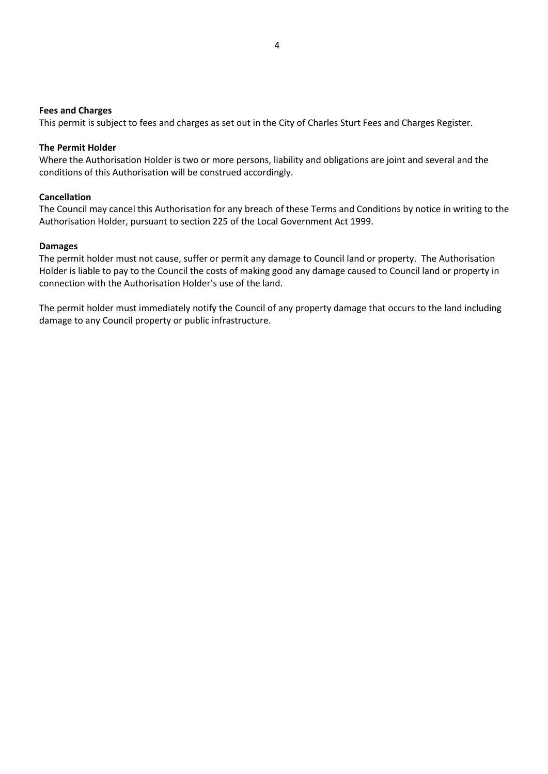#### **Fees and Charges**

This permit is subject to fees and charges as set out in the City of Charles Sturt Fees and Charges Register.

#### **The Permit Holder**

Where the Authorisation Holder is two or more persons, liability and obligations are joint and several and the conditions of this Authorisation will be construed accordingly.

#### **Cancellation**

The Council may cancel this Authorisation for any breach of these Terms and Conditions by notice in writing to the Authorisation Holder, pursuant to section 225 of the Local Government Act 1999.

#### **Damages**

The permit holder must not cause, suffer or permit any damage to Council land or property. The Authorisation Holder is liable to pay to the Council the costs of making good any damage caused to Council land or property in connection with the Authorisation Holder's use of the land.

The permit holder must immediately notify the Council of any property damage that occurs to the land including damage to any Council property or public infrastructure.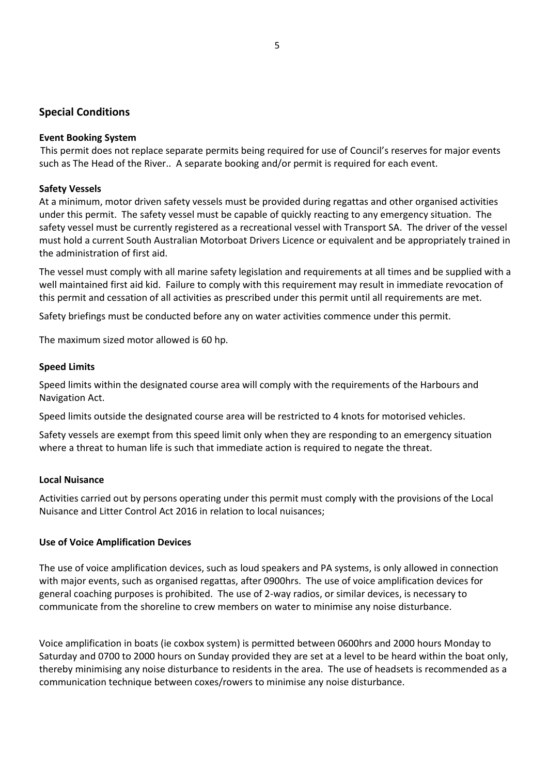# **Special Conditions**

#### **Event Booking System**

This permit does not replace separate permits being required for use of Council's reserves for major events such as The Head of the River.. A separate booking and/or permit is required for each event.

## **Safety Vessels**

At a minimum, motor driven safety vessels must be provided during regattas and other organised activities under this permit. The safety vessel must be capable of quickly reacting to any emergency situation. The safety vessel must be currently registered as a recreational vessel with Transport SA. The driver of the vessel must hold a current South Australian Motorboat Drivers Licence or equivalent and be appropriately trained in the administration of first aid.

The vessel must comply with all marine safety legislation and requirements at all times and be supplied with a well maintained first aid kid. Failure to comply with this requirement may result in immediate revocation of this permit and cessation of all activities as prescribed under this permit until all requirements are met.

Safety briefings must be conducted before any on water activities commence under this permit.

The maximum sized motor allowed is 60 hp.

## **Speed Limits**

Speed limits within the designated course area will comply with the requirements of the Harbours and Navigation Act.

Speed limits outside the designated course area will be restricted to 4 knots for motorised vehicles.

Safety vessels are exempt from this speed limit only when they are responding to an emergency situation where a threat to human life is such that immediate action is required to negate the threat.

#### **Local Nuisance**

Activities carried out by persons operating under this permit must comply with the provisions of the Local Nuisance and Litter Control Act 2016 in relation to local nuisances;

#### **Use of Voice Amplification Devices**

The use of voice amplification devices, such as loud speakers and PA systems, is only allowed in connection with major events, such as organised regattas, after 0900hrs. The use of voice amplification devices for general coaching purposes is prohibited. The use of 2-way radios, or similar devices, is necessary to communicate from the shoreline to crew members on water to minimise any noise disturbance.

Voice amplification in boats (ie coxbox system) is permitted between 0600hrs and 2000 hours Monday to Saturday and 0700 to 2000 hours on Sunday provided they are set at a level to be heard within the boat only, thereby minimising any noise disturbance to residents in the area. The use of headsets is recommended as a communication technique between coxes/rowers to minimise any noise disturbance.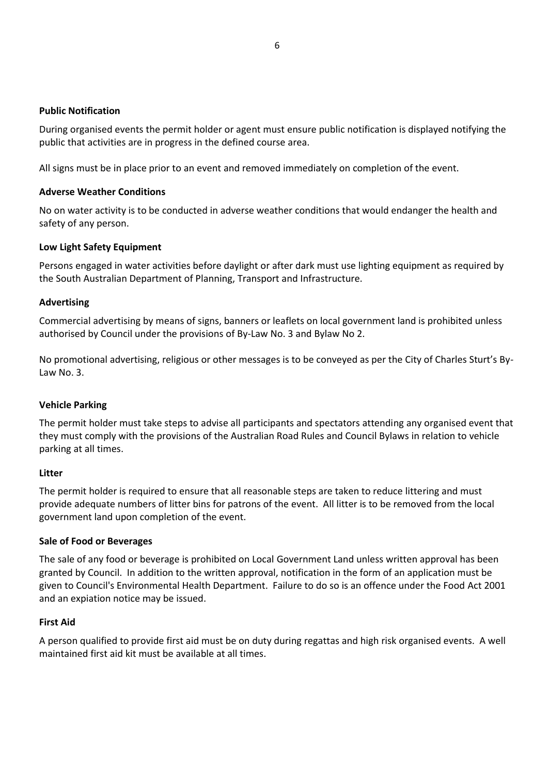## **Public Notification**

During organised events the permit holder or agent must ensure public notification is displayed notifying the public that activities are in progress in the defined course area.

All signs must be in place prior to an event and removed immediately on completion of the event.

## **Adverse Weather Conditions**

No on water activity is to be conducted in adverse weather conditions that would endanger the health and safety of any person.

## **Low Light Safety Equipment**

Persons engaged in water activities before daylight or after dark must use lighting equipment as required by the South Australian Department of Planning, Transport and Infrastructure.

## **Advertising**

Commercial advertising by means of signs, banners or leaflets on local government land is prohibited unless authorised by Council under the provisions of By-Law No. 3 and Bylaw No 2.

No promotional advertising, religious or other messages is to be conveyed as per the City of Charles Sturt's By-Law No. 3.

#### **Vehicle Parking**

The permit holder must take steps to advise all participants and spectators attending any organised event that they must comply with the provisions of the Australian Road Rules and Council Bylaws in relation to vehicle parking at all times.

#### **Litter**

The permit holder is required to ensure that all reasonable steps are taken to reduce littering and must provide adequate numbers of litter bins for patrons of the event. All litter is to be removed from the local government land upon completion of the event.

#### **Sale of Food or Beverages**

The sale of any food or beverage is prohibited on Local Government Land unless written approval has been granted by Council. In addition to the written approval, notification in the form of an application must be given to Council's Environmental Health Department. Failure to do so is an offence under the Food Act 2001 and an expiation notice may be issued.

#### **First Aid**

A person qualified to provide first aid must be on duty during regattas and high risk organised events. A well maintained first aid kit must be available at all times.